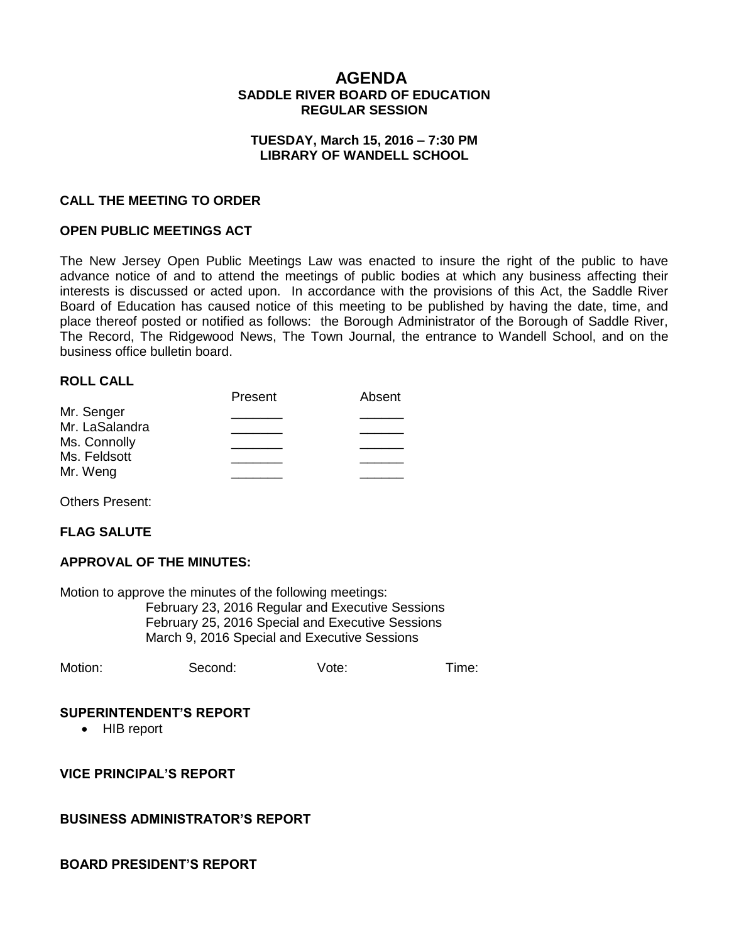# **AGENDA SADDLE RIVER BOARD OF EDUCATION REGULAR SESSION**

### **TUESDAY, March 15, 2016 – 7:30 PM LIBRARY OF WANDELL SCHOOL**

## **CALL THE MEETING TO ORDER**

### **OPEN PUBLIC MEETINGS ACT**

The New Jersey Open Public Meetings Law was enacted to insure the right of the public to have advance notice of and to attend the meetings of public bodies at which any business affecting their interests is discussed or acted upon. In accordance with the provisions of this Act, the Saddle River Board of Education has caused notice of this meeting to be published by having the date, time, and place thereof posted or notified as follows: the Borough Administrator of the Borough of Saddle River, The Record, The Ridgewood News, The Town Journal, the entrance to Wandell School, and on the business office bulletin board.

#### **ROLL CALL**

|                | Present | Absent |
|----------------|---------|--------|
| Mr. Senger     |         |        |
| Mr. LaSalandra |         |        |
| Ms. Connolly   |         |        |
| Ms. Feldsott   |         |        |
| Mr. Weng       |         |        |
|                |         |        |

Others Present:

#### **FLAG SALUTE**

#### **APPROVAL OF THE MINUTES:**

Motion to approve the minutes of the following meetings: February 23, 2016 Regular and Executive Sessions February 25, 2016 Special and Executive Sessions March 9, 2016 Special and Executive Sessions

Motion: Second: Vote: Time:

#### **SUPERINTENDENT'S REPORT**

• HIB report

**VICE PRINCIPAL'S REPORT**

#### **BUSINESS ADMINISTRATOR'S REPORT**

#### **BOARD PRESIDENT'S REPORT**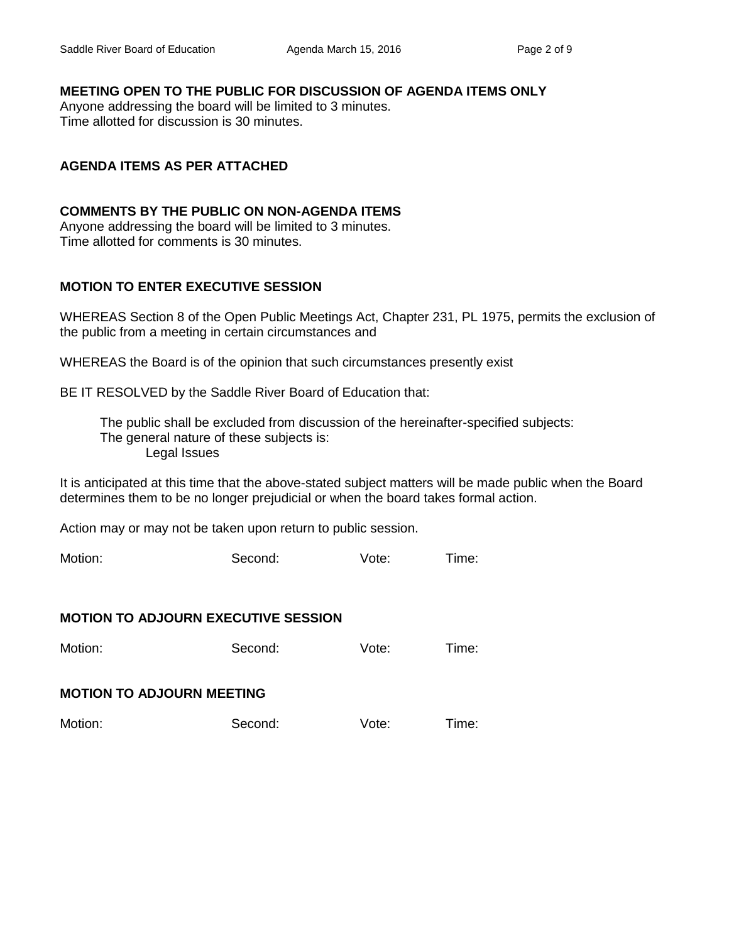# **MEETING OPEN TO THE PUBLIC FOR DISCUSSION OF AGENDA ITEMS ONLY**

Anyone addressing the board will be limited to 3 minutes. Time allotted for discussion is 30 minutes.

# **AGENDA ITEMS AS PER ATTACHED**

# **COMMENTS BY THE PUBLIC ON NON-AGENDA ITEMS**

Anyone addressing the board will be limited to 3 minutes. Time allotted for comments is 30 minutes.

# **MOTION TO ENTER EXECUTIVE SESSION**

WHEREAS Section 8 of the Open Public Meetings Act, Chapter 231, PL 1975, permits the exclusion of the public from a meeting in certain circumstances and

WHEREAS the Board is of the opinion that such circumstances presently exist

BE IT RESOLVED by the Saddle River Board of Education that:

 The public shall be excluded from discussion of the hereinafter-specified subjects: The general nature of these subjects is: Legal Issues

It is anticipated at this time that the above-stated subject matters will be made public when the Board determines them to be no longer prejudicial or when the board takes formal action.

Action may or may not be taken upon return to public session.

Motion: Second: Vote: Time:

# **MOTION TO ADJOURN EXECUTIVE SESSION**

Motion: Second: Vote: Time:

#### **MOTION TO ADJOURN MEETING**

Motion: Second: Vote: Time: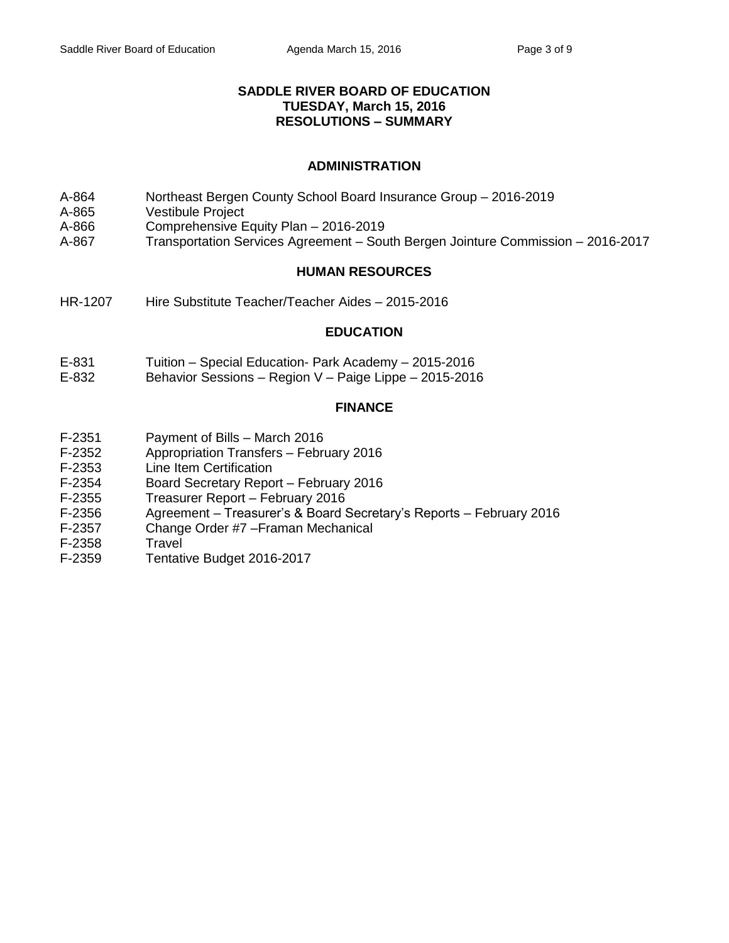# **SADDLE RIVER BOARD OF EDUCATION TUESDAY, March 15, 2016 RESOLUTIONS – SUMMARY**

# **ADMINISTRATION**

- A-864 Northeast Bergen County School Board Insurance Group 2016-2019
- A-865 Vestibule Project
- A-866 Comprehensive Equity Plan 2016-2019
- A-867 Transportation Services Agreement South Bergen Jointure Commission 2016-2017

# **HUMAN RESOURCES**

HR-1207 Hire Substitute Teacher/Teacher Aides – 2015-2016

### **EDUCATION**

- E-831 Tuition Special Education- Park Academy 2015-2016
- E-832 Behavior Sessions Region V Paige Lippe 2015-2016

### **FINANCE**

- F-2351 Payment of Bills March 2016
- F-2352 Appropriation Transfers February 2016
- F-2353 Line Item Certification
- F-2354 Board Secretary Report February 2016
- F-2355 Treasurer Report February 2016
- F-2356 Agreement Treasurer's & Board Secretary's Reports February 2016
- F-2357 Change Order #7 –Framan Mechanical
- F-2358 Travel
- F-2359 Tentative Budget 2016-2017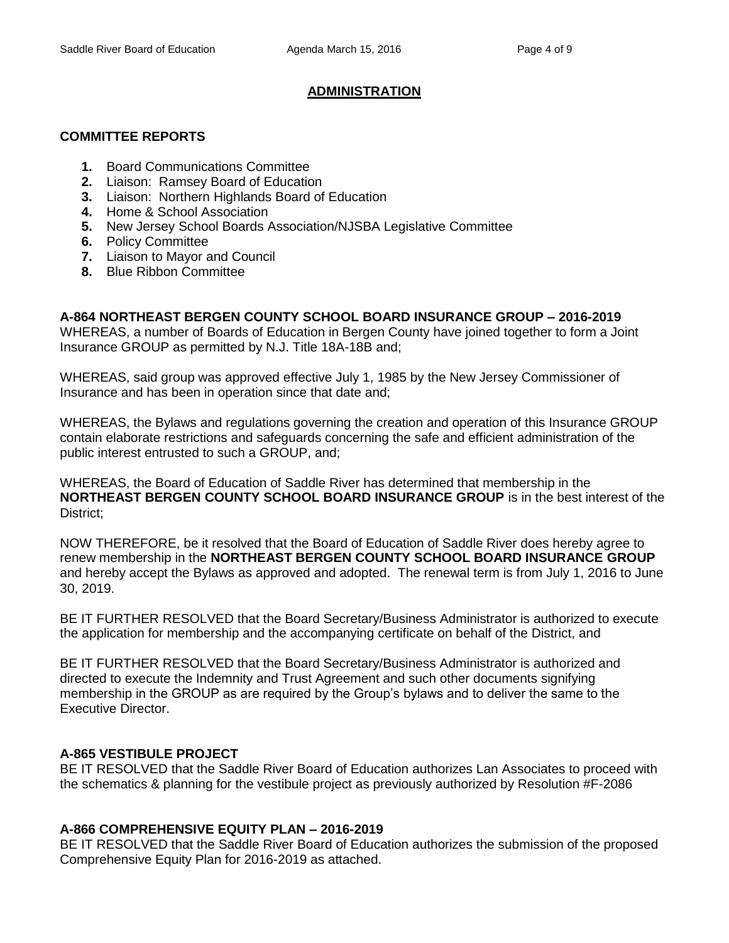# **ADMINISTRATION**

# **COMMITTEE REPORTS**

- **1.** Board Communications Committee
- **2.** Liaison: Ramsey Board of Education
- **3.** Liaison: Northern Highlands Board of Education
- **4.** Home & School Association
- **5.** New Jersey School Boards Association/NJSBA Legislative Committee
- **6.** Policy Committee
- **7.** Liaison to Mayor and Council
- **8.** Blue Ribbon Committee

# **A-864 NORTHEAST BERGEN COUNTY SCHOOL BOARD INSURANCE GROUP – 2016-2019**

WHEREAS, a number of Boards of Education in Bergen County have joined together to form a Joint Insurance GROUP as permitted by N.J. Title 18A-18B and;

WHEREAS, said group was approved effective July 1, 1985 by the New Jersey Commissioner of Insurance and has been in operation since that date and;

WHEREAS, the Bylaws and regulations governing the creation and operation of this Insurance GROUP contain elaborate restrictions and safeguards concerning the safe and efficient administration of the public interest entrusted to such a GROUP, and;

WHEREAS, the Board of Education of Saddle River has determined that membership in the **NORTHEAST BERGEN COUNTY SCHOOL BOARD INSURANCE GROUP** is in the best interest of the District;

NOW THEREFORE, be it resolved that the Board of Education of Saddle River does hereby agree to renew membership in the **NORTHEAST BERGEN COUNTY SCHOOL BOARD INSURANCE GROUP** and hereby accept the Bylaws as approved and adopted. The renewal term is from July 1, 2016 to June 30, 2019.

BE IT FURTHER RESOLVED that the Board Secretary/Business Administrator is authorized to execute the application for membership and the accompanying certificate on behalf of the District, and

BE IT FURTHER RESOLVED that the Board Secretary/Business Administrator is authorized and directed to execute the Indemnity and Trust Agreement and such other documents signifying membership in the GROUP as are required by the Group's bylaws and to deliver the same to the Executive Director.

# **A-865 VESTIBULE PROJECT**

BE IT RESOLVED that the Saddle River Board of Education authorizes Lan Associates to proceed with the schematics & planning for the vestibule project as previously authorized by Resolution #F-2086

# **A-866 COMPREHENSIVE EQUITY PLAN – 2016-2019**

BE IT RESOLVED that the Saddle River Board of Education authorizes the submission of the proposed Comprehensive Equity Plan for 2016-2019 as attached.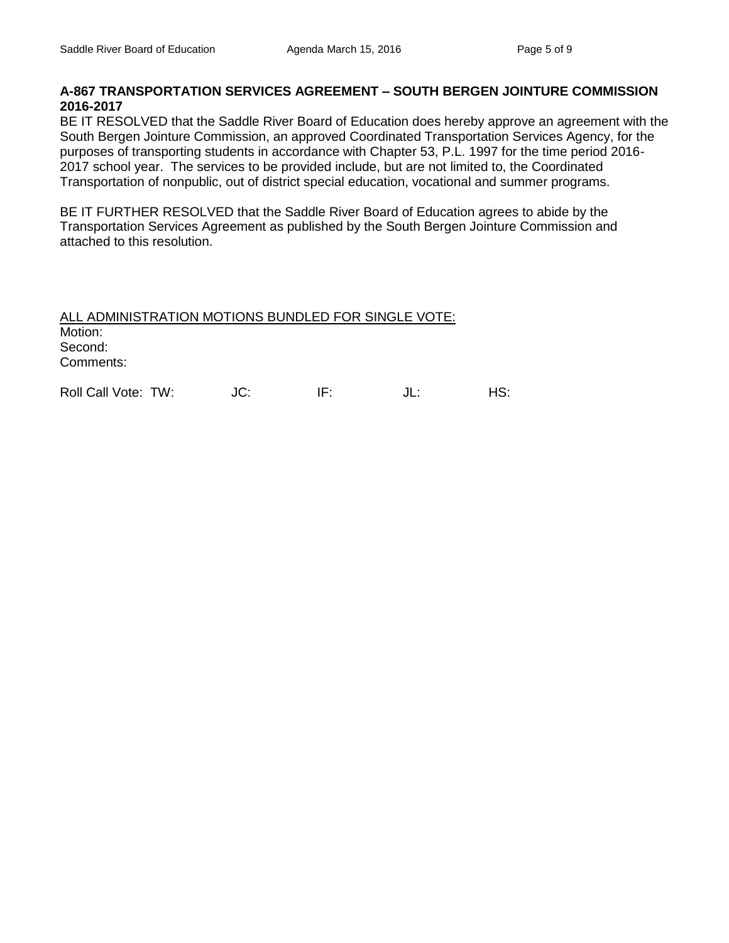# **A-867 TRANSPORTATION SERVICES AGREEMENT – SOUTH BERGEN JOINTURE COMMISSION 2016-2017**

BE IT RESOLVED that the Saddle River Board of Education does hereby approve an agreement with the South Bergen Jointure Commission, an approved Coordinated Transportation Services Agency, for the purposes of transporting students in accordance with Chapter 53, P.L. 1997 for the time period 2016- 2017 school year. The services to be provided include, but are not limited to, the Coordinated Transportation of nonpublic, out of district special education, vocational and summer programs.

BE IT FURTHER RESOLVED that the Saddle River Board of Education agrees to abide by the Transportation Services Agreement as published by the South Bergen Jointure Commission and attached to this resolution.

ALL ADMINISTRATION MOTIONS BUNDLED FOR SINGLE VOTE: Motion: Second: Comments:

Roll Call Vote: TW:  $JC:$  IF:  $JL:$  HS: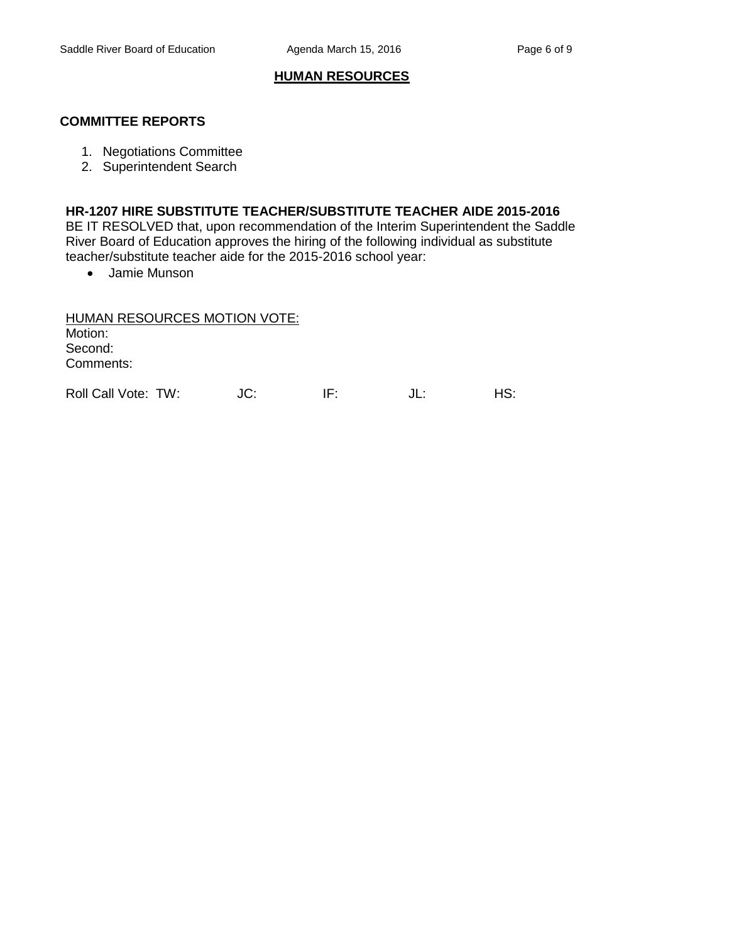# **HUMAN RESOURCES**

### **COMMITTEE REPORTS**

- 1. Negotiations Committee
- 2. Superintendent Search

### **HR-1207 HIRE SUBSTITUTE TEACHER/SUBSTITUTE TEACHER AIDE 2015-2016**

BE IT RESOLVED that, upon recommendation of the Interim Superintendent the Saddle River Board of Education approves the hiring of the following individual as substitute teacher/substitute teacher aide for the 2015-2016 school year:

Jamie Munson

HUMAN RESOURCES MOTION VOTE: Motion: Second: Comments:

Roll Call Vote: TW:  $JC:$  IF:  $JL:$  HS: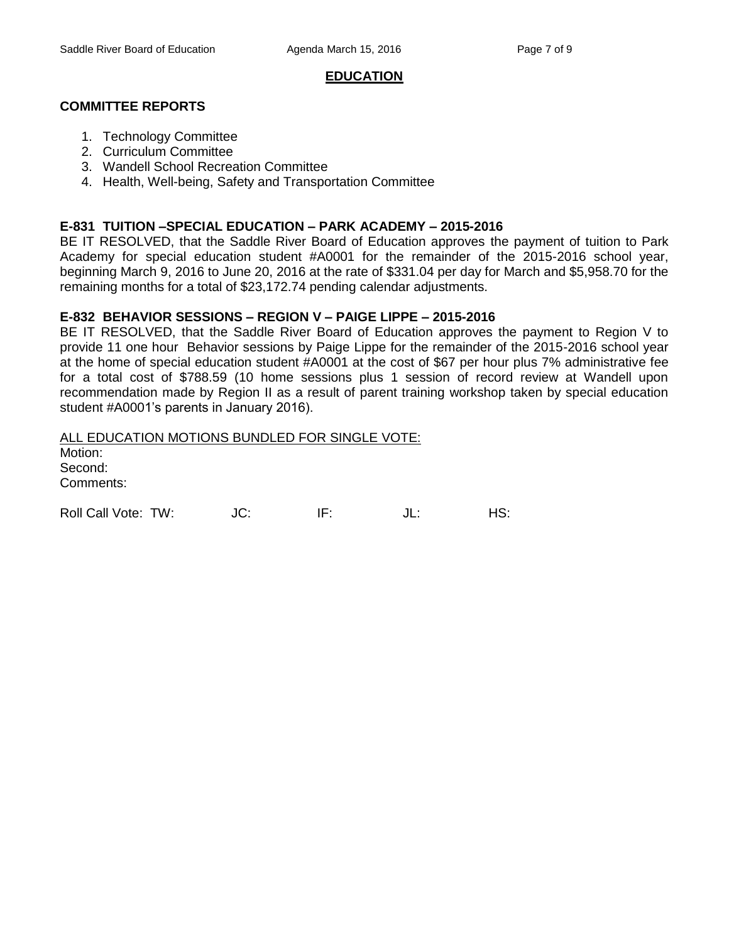#### **EDUCATION**

### **COMMITTEE REPORTS**

- 1. Technology Committee
- 2. Curriculum Committee
- 3. Wandell School Recreation Committee
- 4. Health, Well-being, Safety and Transportation Committee

#### **E-831 TUITION –SPECIAL EDUCATION – PARK ACADEMY – 2015-2016**

BE IT RESOLVED, that the Saddle River Board of Education approves the payment of tuition to Park Academy for special education student #A0001 for the remainder of the 2015-2016 school year, beginning March 9, 2016 to June 20, 2016 at the rate of \$331.04 per day for March and \$5,958.70 for the remaining months for a total of \$23,172.74 pending calendar adjustments.

#### **E-832 BEHAVIOR SESSIONS – REGION V – PAIGE LIPPE – 2015-2016**

BE IT RESOLVED, that the Saddle River Board of Education approves the payment to Region V to provide 11 one hour Behavior sessions by Paige Lippe for the remainder of the 2015-2016 school year at the home of special education student #A0001 at the cost of \$67 per hour plus 7% administrative fee for a total cost of \$788.59 (10 home sessions plus 1 session of record review at Wandell upon recommendation made by Region II as a result of parent training workshop taken by special education student #A0001's parents in January 2016).

ALL EDUCATION MOTIONS BUNDLED FOR SINGLE VOTE: Motion:

Second: Comments:

Roll Call Vote: TW: JC: IF: JL: HS: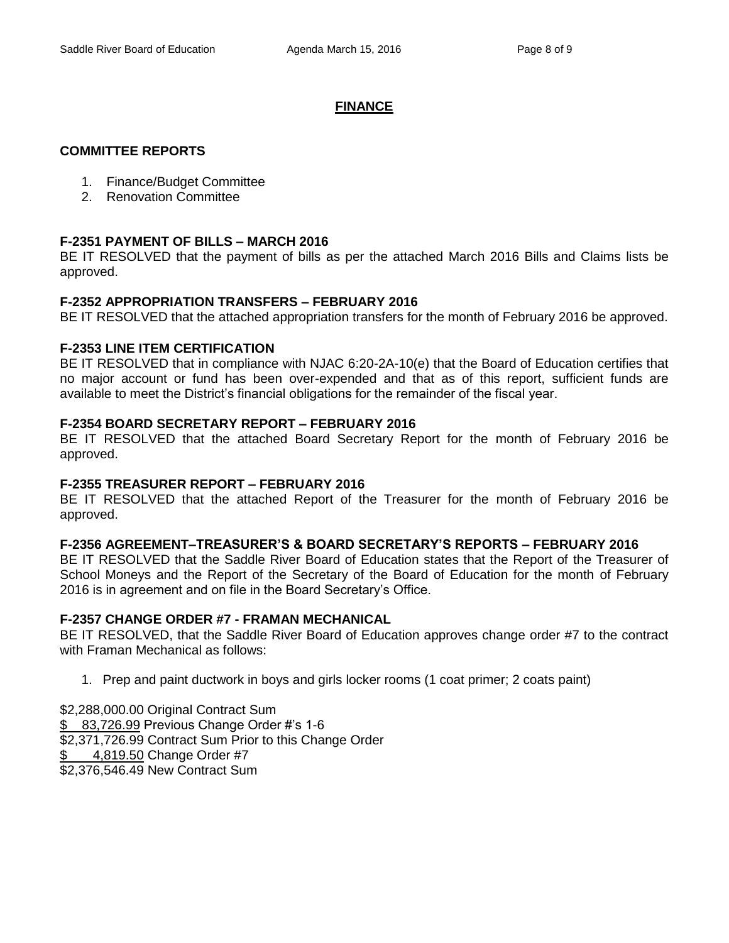### **FINANCE**

### **COMMITTEE REPORTS**

- 1. Finance/Budget Committee
- 2. Renovation Committee

### **F-2351 PAYMENT OF BILLS – MARCH 2016**

BE IT RESOLVED that the payment of bills as per the attached March 2016 Bills and Claims lists be approved.

### **F-2352 APPROPRIATION TRANSFERS – FEBRUARY 2016**

BE IT RESOLVED that the attached appropriation transfers for the month of February 2016 be approved.

### **F-2353 LINE ITEM CERTIFICATION**

BE IT RESOLVED that in compliance with NJAC 6:20-2A-10(e) that the Board of Education certifies that no major account or fund has been over-expended and that as of this report, sufficient funds are available to meet the District's financial obligations for the remainder of the fiscal year.

### **F-2354 BOARD SECRETARY REPORT – FEBRUARY 2016**

BE IT RESOLVED that the attached Board Secretary Report for the month of February 2016 be approved.

#### **F-2355 TREASURER REPORT – FEBRUARY 2016**

BE IT RESOLVED that the attached Report of the Treasurer for the month of February 2016 be approved.

#### **F-2356 AGREEMENT–TREASURER'S & BOARD SECRETARY'S REPORTS – FEBRUARY 2016**

BE IT RESOLVED that the Saddle River Board of Education states that the Report of the Treasurer of School Moneys and the Report of the Secretary of the Board of Education for the month of February 2016 is in agreement and on file in the Board Secretary's Office.

# **F-2357 CHANGE ORDER #7 - FRAMAN MECHANICAL**

BE IT RESOLVED, that the Saddle River Board of Education approves change order #7 to the contract with Framan Mechanical as follows:

1. Prep and paint ductwork in boys and girls locker rooms (1 coat primer; 2 coats paint)

\$2,288,000.00 Original Contract Sum \$ 83,726.99 Previous Change Order #'s 1-6 \$2,371,726.99 Contract Sum Prior to this Change Order 4,819.50 Change Order #7 \$2,376,546.49 New Contract Sum